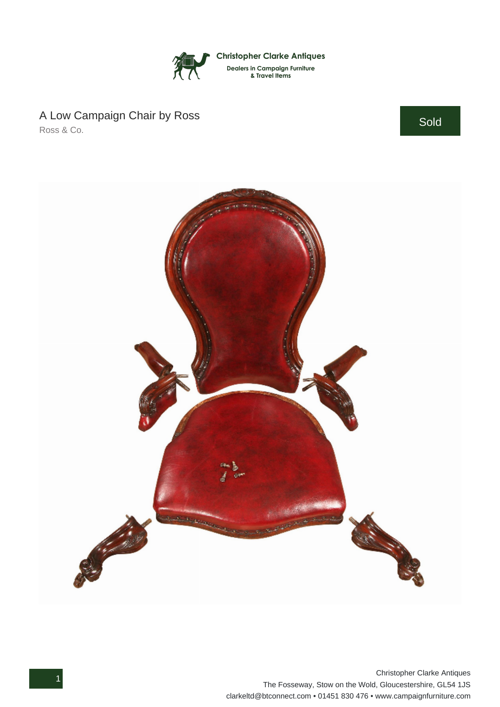

## A Low Campaign Chair by Ross

Ross & Co.

Sold